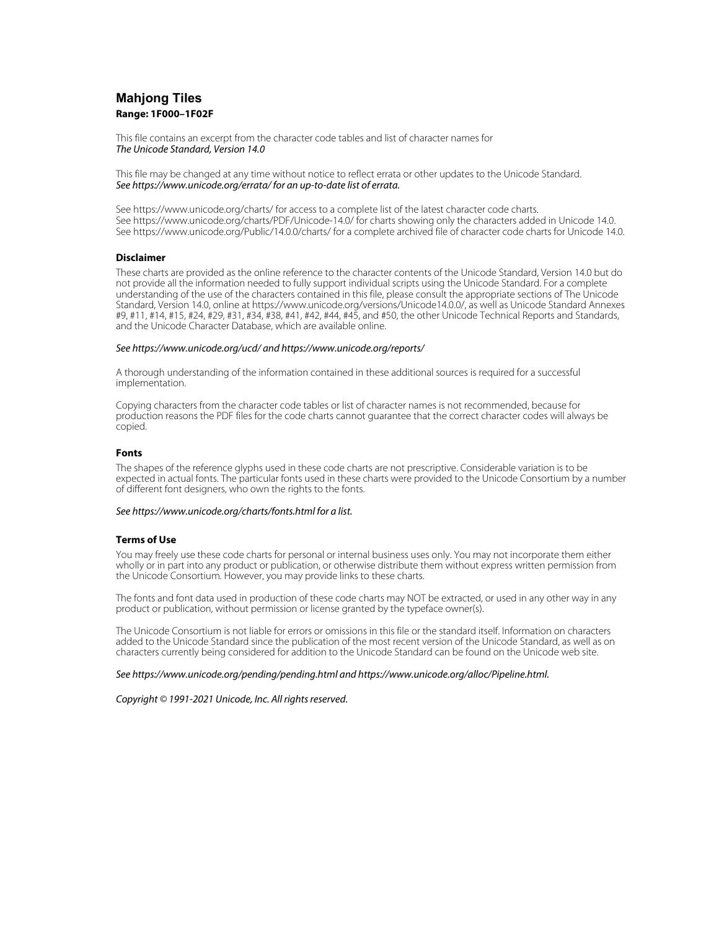# **Mahjong Tiles Range: 1F000–1F02F**

This file contains an excerpt from the character code tables and list of character names for The Unicode Standard, Version 14.0

This file may be changed at any time without notice to reflect errata or other updates to the Unicode Standard. See https://www.unicode.org/errata/ for an up-to-date list of errata.

See https://www.unicode.org/charts/ for access to a complete list of the latest character code charts. See https://www.unicode.org/charts/PDF/Unicode-14.0/ for charts showing only the characters added in Unicode 14.0. See https://www.unicode.org/Public/14.0.0/charts/ for a complete archived file of character code charts for Unicode 14.0.

# **Disclaimer**

These charts are provided as the online reference to the character contents of the Unicode Standard, Version 14.0 but do not provide all the information needed to fully support individual scripts using the Unicode Standard. For a complete understanding of the use of the characters contained in this file, please consult the appropriate sections of The Unicode Standard, Version 14.0, online at https://www.unicode.org/versions/Unicode14.0.0/, as well as Unicode Standard Annexes #9, #11, #14, #15, #24, #29, #31, #34, #38, #41, #42, #44, #45, and #50, the other Unicode Technical Reports and Standards, and the Unicode Character Database, which are available online.

### See https://www.unicode.org/ucd/ and https://www.unicode.org/reports/

A thorough understanding of the information contained in these additional sources is required for a successful implementation.

Copying characters from the character code tables or list of character names is not recommended, because for production reasons the PDF files for the code charts cannot guarantee that the correct character codes will always be copied.

#### **Fonts**

The shapes of the reference glyphs used in these code charts are not prescriptive. Considerable variation is to be expected in actual fonts. The particular fonts used in these charts were provided to the Unicode Consortium by a number of different font designers, who own the rights to the fonts.

#### See https://www.unicode.org/charts/fonts.html for a list.

## **Terms of Use**

You may freely use these code charts for personal or internal business uses only. You may not incorporate them either wholly or in part into any product or publication, or otherwise distribute them without express written permission from the Unicode Consortium. However, you may provide links to these charts.

The fonts and font data used in production of these code charts may NOT be extracted, or used in any other way in any product or publication, without permission or license granted by the typeface owner(s).

The Unicode Consortium is not liable for errors or omissions in this file or the standard itself. Information on characters added to the Unicode Standard since the publication of the most recent version of the Unicode Standard, as well as on characters currently being considered for addition to the Unicode Standard can be found on the Unicode web site.

#### See https://www.unicode.org/pending/pending.html and https://www.unicode.org/alloc/Pipeline.html.

Copyright © 1991-2021 Unicode, Inc. All rights reserved.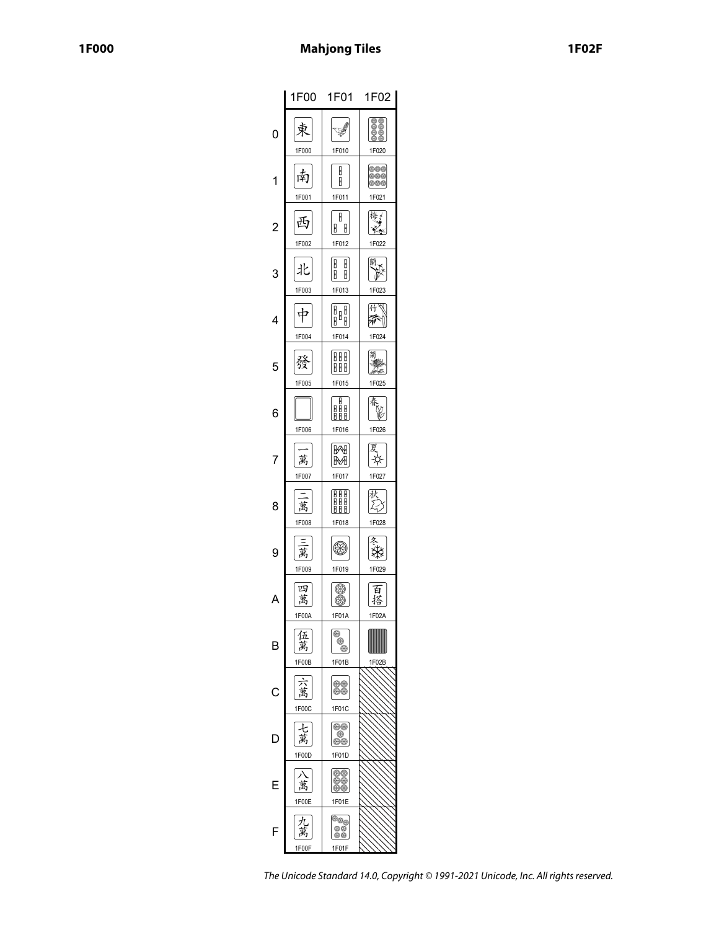|                | 1F00 l              | 1F01                                 | 1F02                       |
|----------------|---------------------|--------------------------------------|----------------------------|
| 0              | 1F000               | 1F010                                | 88<br>1F020                |
| 1              | 南<br>1F001          | B<br>B<br>1F011                      | 800<br>800<br>300<br>1F021 |
| $\overline{c}$ | 正<br>1F002          | H<br>U<br>H<br>1F012                 | 梅子<br>1F022                |
| З              | 1F003               | U<br>U<br>B<br>H<br>1F013            | 蘭<br>1F023                 |
| 4              | 1F004               | <br>    <br> <br>1F014               | 什<br>Ń<br>1F024            |
| 5              | 赞<br>1F005          | HH<br>B<br>BB<br>1F015               | 菊<br>1F025                 |
| 6              | 1F006               | B<br>8 B B<br>BBB<br>1F016           | v<br>1F026                 |
| 7              | 萬<br>1F007          | ₩<br>₩<br>1F017                      | Ý.<br>1F027                |
| 8              | 萬<br>1F008          | HHE<br>ŎŎŎ<br>B<br>1F018             | 伙<br>1F028                 |
| 9              | 禺<br>1F009          | 1F019                                | Ý.<br>1F029                |
|                | 匹<br>萬<br>1F00A     | ⊛<br>⊛<br>1F01A                      | 白<br>搭<br>1F02A            |
| B              | 伍<br>萬<br>1F00B     | ⊛<br>⊛<br>⊛<br>1F01B                 | 1F02B                      |
| C              | 萬<br>1F00C          | 80<br>00<br>1F01C                    |                            |
| L              | 萬<br>1F00D          | ⊛⊛<br>⊛<br>**<br>1F01D               |                            |
| ŀ              | 萬<br>1F00E          | 99<br>⊛⊕<br>1F01E                    |                            |
| F              | $\pi$<br>禺<br>1F00F | <sup>8</sup> 99<br>80<br>88<br>1F01F |                            |

The Unicode Standard 14.0, Copyright © 1991-2021 Unicode, Inc. All rights reserved.